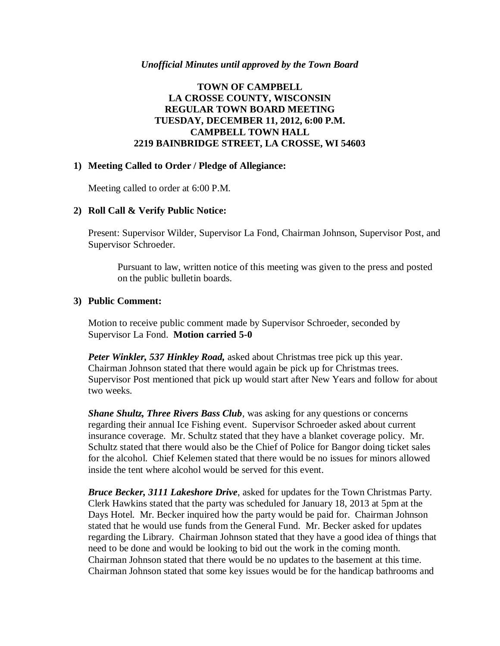#### *Unofficial Minutes until approved by the Town Board*

### **TOWN OF CAMPBELL LA CROSSE COUNTY, WISCONSIN REGULAR TOWN BOARD MEETING TUESDAY, DECEMBER 11, 2012, 6:00 P.M. CAMPBELL TOWN HALL 2219 BAINBRIDGE STREET, LA CROSSE, WI 54603**

#### **1) Meeting Called to Order / Pledge of Allegiance:**

Meeting called to order at 6:00 P.M.

### **2) Roll Call & Verify Public Notice:**

Present: Supervisor Wilder, Supervisor La Fond, Chairman Johnson, Supervisor Post, and Supervisor Schroeder.

Pursuant to law, written notice of this meeting was given to the press and posted on the public bulletin boards.

#### **3) Public Comment:**

Motion to receive public comment made by Supervisor Schroeder, seconded by Supervisor La Fond. **Motion carried 5-0**

*Peter Winkler, 537 Hinkley Road,* asked about Christmas tree pick up this year. Chairman Johnson stated that there would again be pick up for Christmas trees. Supervisor Post mentioned that pick up would start after New Years and follow for about two weeks.

*Shane Shultz, Three Rivers Bass Club*, was asking for any questions or concerns regarding their annual Ice Fishing event. Supervisor Schroeder asked about current insurance coverage. Mr. Schultz stated that they have a blanket coverage policy. Mr. Schultz stated that there would also be the Chief of Police for Bangor doing ticket sales for the alcohol. Chief Kelemen stated that there would be no issues for minors allowed inside the tent where alcohol would be served for this event.

*Bruce Becker, 3111 Lakeshore Drive*, asked for updates for the Town Christmas Party. Clerk Hawkins stated that the party was scheduled for January 18, 2013 at 5pm at the Days Hotel. Mr. Becker inquired how the party would be paid for. Chairman Johnson stated that he would use funds from the General Fund. Mr. Becker asked for updates regarding the Library. Chairman Johnson stated that they have a good idea of things that need to be done and would be looking to bid out the work in the coming month. Chairman Johnson stated that there would be no updates to the basement at this time. Chairman Johnson stated that some key issues would be for the handicap bathrooms and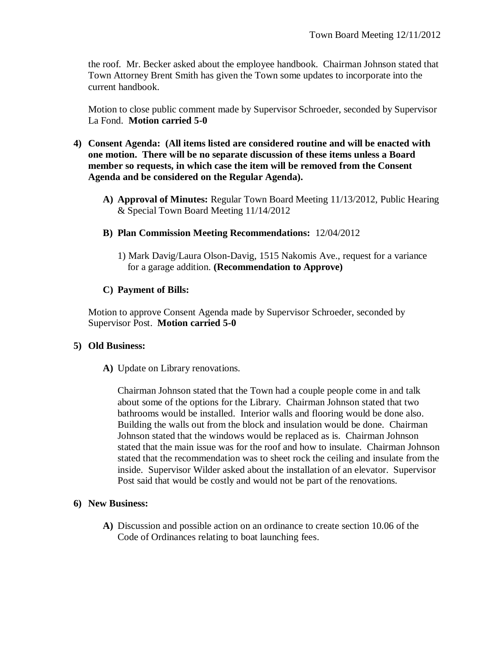the roof. Mr. Becker asked about the employee handbook. Chairman Johnson stated that Town Attorney Brent Smith has given the Town some updates to incorporate into the current handbook.

Motion to close public comment made by Supervisor Schroeder, seconded by Supervisor La Fond. **Motion carried 5-0**

- **4) Consent Agenda: (All items listed are considered routine and will be enacted with one motion. There will be no separate discussion of these items unless a Board member so requests, in which case the item will be removed from the Consent Agenda and be considered on the Regular Agenda).**
	- **A) Approval of Minutes:** Regular Town Board Meeting 11/13/2012, Public Hearing & Special Town Board Meeting 11/14/2012
	- **B) Plan Commission Meeting Recommendations:** 12/04/2012
		- 1) Mark Davig/Laura Olson-Davig, 1515 Nakomis Ave., request for a variance for a garage addition. **(Recommendation to Approve)**

# **C) Payment of Bills:**

Motion to approve Consent Agenda made by Supervisor Schroeder, seconded by Supervisor Post. **Motion carried 5-0**

# **5) Old Business:**

**A)** Update on Library renovations.

Chairman Johnson stated that the Town had a couple people come in and talk about some of the options for the Library. Chairman Johnson stated that two bathrooms would be installed. Interior walls and flooring would be done also. Building the walls out from the block and insulation would be done. Chairman Johnson stated that the windows would be replaced as is. Chairman Johnson stated that the main issue was for the roof and how to insulate. Chairman Johnson stated that the recommendation was to sheet rock the ceiling and insulate from the inside. Supervisor Wilder asked about the installation of an elevator. Supervisor Post said that would be costly and would not be part of the renovations.

# **6) New Business:**

**A)** Discussion and possible action on an ordinance to create section 10.06 of the Code of Ordinances relating to boat launching fees.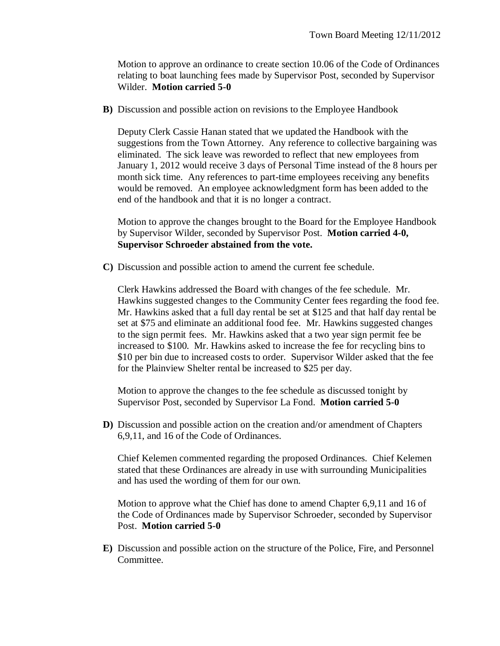Motion to approve an ordinance to create section 10.06 of the Code of Ordinances relating to boat launching fees made by Supervisor Post, seconded by Supervisor Wilder. **Motion carried 5-0**

**B)** Discussion and possible action on revisions to the Employee Handbook

Deputy Clerk Cassie Hanan stated that we updated the Handbook with the suggestions from the Town Attorney. Any reference to collective bargaining was eliminated. The sick leave was reworded to reflect that new employees from January 1, 2012 would receive 3 days of Personal Time instead of the 8 hours per month sick time. Any references to part-time employees receiving any benefits would be removed. An employee acknowledgment form has been added to the end of the handbook and that it is no longer a contract.

Motion to approve the changes brought to the Board for the Employee Handbook by Supervisor Wilder, seconded by Supervisor Post. **Motion carried 4-0, Supervisor Schroeder abstained from the vote.**

**C)** Discussion and possible action to amend the current fee schedule.

Clerk Hawkins addressed the Board with changes of the fee schedule. Mr. Hawkins suggested changes to the Community Center fees regarding the food fee. Mr. Hawkins asked that a full day rental be set at \$125 and that half day rental be set at \$75 and eliminate an additional food fee. Mr. Hawkins suggested changes to the sign permit fees. Mr. Hawkins asked that a two year sign permit fee be increased to \$100. Mr. Hawkins asked to increase the fee for recycling bins to \$10 per bin due to increased costs to order. Supervisor Wilder asked that the fee for the Plainview Shelter rental be increased to \$25 per day.

Motion to approve the changes to the fee schedule as discussed tonight by Supervisor Post, seconded by Supervisor La Fond. **Motion carried 5-0**

**D)** Discussion and possible action on the creation and/or amendment of Chapters 6,9,11, and 16 of the Code of Ordinances.

Chief Kelemen commented regarding the proposed Ordinances. Chief Kelemen stated that these Ordinances are already in use with surrounding Municipalities and has used the wording of them for our own.

Motion to approve what the Chief has done to amend Chapter 6,9,11 and 16 of the Code of Ordinances made by Supervisor Schroeder, seconded by Supervisor Post. **Motion carried 5-0**

**E)** Discussion and possible action on the structure of the Police, Fire, and Personnel Committee.